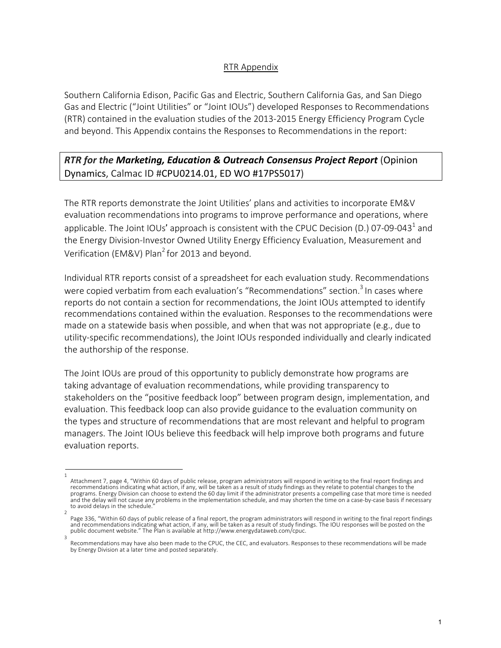### RTR Appendix

Southern California Edison, Pacific Gas and Electric, Southern California Gas, and San Diego Gas and Electric ("Joint Utilities" or "Joint IOUs") developed Responses to Recommendations (RTR) contained in the evaluation studies of the 2013-2015 Energy Efficiency Program Cycle and beyond. This Appendix contains the Responses to Recommendations in the report:

# *RTR for the Marketing, Education & Outreach Consensus Project Report* (Opinion Dynamics, Calmac ID #CPU0214.01, ED WO #17PS5017)

The RTR reports demonstrate the Joint Utilities' plans and activities to incorporate EM&V evaluation recommendations into programs to improve performance and operations, where applicable. The Joint IOUs' approach is consistent with the CPUC Decision (D.) 07-09-043<sup>1</sup> and the Energy Division-Investor Owned Utility Energy Efficiency Evaluation, Measurement and Verification (EM&V) Plan<sup>2</sup> for 2013 and beyond.

Individual RTR reports consist of a spreadsheet for each evaluation study. Recommendations were copied verbatim from each evaluation's "Recommendations" section.<sup>3</sup> In cases where reports do not contain a section for recommendations, the Joint IOUs attempted to identify recommendations contained within the evaluation. Responses to the recommendations were made on a statewide basis when possible, and when that was not appropriate (e.g., due to utility-specific recommendations), the Joint IOUs responded individually and clearly indicated the authorship of the response.

The Joint IOUs are proud of this opportunity to publicly demonstrate how programs are taking advantage of evaluation recommendations, while providing transparency to stakeholders on the "positive feedback loop" between program design, implementation, and evaluation. This feedback loop can also provide guidance to the evaluation community on the types and structure of recommendations that are most relevant and helpful to program managers. The Joint IOUs believe this feedback will help improve both programs and future evaluation reports.

<sup>1</sup>  Attachment 7, page 4, "Within 60 days of public release, program administrators will respond in writing to the final report findings and recommendations indicating what action, if any, will be taken as a result of study findings as they relate to potential changes to the programs. Energy Division can choose to extend the 60 day limit if the administrator presents a compelling case that more time is needed and the delay will not cause any problems in the implementation schedule, and may shorten the time on a case-by-case basis if necessary to avoid delays in the schedule.

<sup>2</sup>  Page 336, "Within 60 days of public release of a final report, the program administrators will respond in writing to the final report findings and recommendations indicating what action, if any, will be taken as a result of study findings. The IOU responses will be posted on the public document website." The Plan is available at http://www.energydataweb.com/cpuc. 3

Recommendations may have also been made to the CPUC, the CEC, and evaluators. Responses to these recommendations will be made by Energy Division at a later time and posted separately.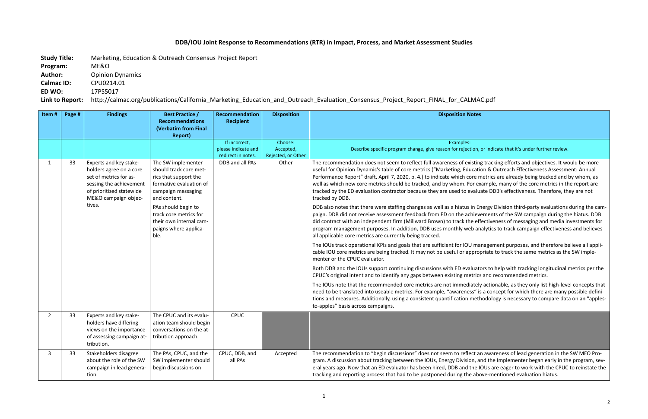n, or indicate that it's under further review.

ing tracking efforts and objectives. It would be more ation & Outreach Effectiveness Assessment: Annual  $\theta$  metrics are already being tracked and by whom, as example, many of the core metrics in the report are luate DDB's effectiveness. Therefore, they are not

Benergy Division third-party evaluations during the camevements of the SW campaign during the hiatus. DDB effectiveness of messaging and media investments for analytics to track campaign effectiveness and believes

management purposes, and therefore believe all appliropriate to track the same metrics as the SW imple-

ators to help with tracking longitudinal metrics per the rics and recommended metrics.

tely actionable, as they only list high-level concepts that is a concept for which there are many possible definithodology is necessary to compare data on an "apples-

an awareness of lead generation in the SW MEO Proand the Implementer began early in the program, sevl IOUs are eager to work with the CPUC to reinstate the above-mentioned evaluation hiatus.

## **DDB/IOU Joint Response to Recommendations (RTR) in Impact, Process, and Market Assessment Studies**

**Study Title:** Marketing, Education & Outreach Consensus Project Report

**Program:** ME&O

Author: Opinion Dynamics

**Calmac ID:** CPU0214.01

**ED WO:** 17PS5017

**Link to Report:** http://calmac.org/publications/California\_Marketing\_Education\_and\_Outreach\_Evaluation\_Consensus\_Project\_Report\_FINAL\_for\_CALMAC.pdf

| Item#          | Page # | <b>Findings</b>                                                                                                                                                      | <b>Best Practice /</b><br><b>Recommendations</b><br><b>(Verbatim from Final</b><br><b>Report)</b>                                                                                                                                                   | Recommendation<br><b>Recipient</b>                         | <b>Disposition</b>                         | <b>Disposition Notes</b>                                                                                                                                                                                                                                                                                                                                                                                                                                                                                                                                                                                                                                                                                                                                                                                                                                                                                                                                                                                                                                                                                                                                                                                                                                                                                                                                                                       |
|----------------|--------|----------------------------------------------------------------------------------------------------------------------------------------------------------------------|-----------------------------------------------------------------------------------------------------------------------------------------------------------------------------------------------------------------------------------------------------|------------------------------------------------------------|--------------------------------------------|------------------------------------------------------------------------------------------------------------------------------------------------------------------------------------------------------------------------------------------------------------------------------------------------------------------------------------------------------------------------------------------------------------------------------------------------------------------------------------------------------------------------------------------------------------------------------------------------------------------------------------------------------------------------------------------------------------------------------------------------------------------------------------------------------------------------------------------------------------------------------------------------------------------------------------------------------------------------------------------------------------------------------------------------------------------------------------------------------------------------------------------------------------------------------------------------------------------------------------------------------------------------------------------------------------------------------------------------------------------------------------------------|
|                |        |                                                                                                                                                                      |                                                                                                                                                                                                                                                     | If incorrect,<br>please indicate and<br>redirect in notes. | Choose:<br>Accepted,<br>Rejected, or Other | Examples:<br>Describe specific program change, give reason for rejection,                                                                                                                                                                                                                                                                                                                                                                                                                                                                                                                                                                                                                                                                                                                                                                                                                                                                                                                                                                                                                                                                                                                                                                                                                                                                                                                      |
| $\mathbf{1}$   | 33     | Experts and key stake-<br>holders agree on a core<br>set of metrics for as-<br>sessing the achievement<br>of prioritized statewide<br>ME&O campaign objec-<br>tives. | The SW implementer<br>should track core met-<br>rics that support the<br>formative evaluation of<br>campaign messaging<br>and content.<br>PAs should begin to<br>track core metrics for<br>their own internal cam-<br>paigns where applica-<br>ble. | DDB and all PAs                                            | Other                                      | The recommendation does not seem to reflect full awareness of existing<br>useful for Opinion Dynamic's table of core metrics ("Marketing, Education<br>Performance Report" draft, April 7, 2020, p. 4.) to indicate which core n<br>well as which new core metrics should be tracked, and by whom. For ex<br>tracked by the ED evaluation contractor because they are used to evaluation<br>tracked by DDB.<br>DDB also notes that there were staffing changes as well as a hiatus in Er<br>paign. DDB did not receive assessment feedback from ED on the achiev<br>did contract with an independent firm (Millward Brown) to track the eff<br>program management purposes. In addition, DDB uses monthly web an<br>all applicable core metrics are currently being tracked.<br>The IOUs track operational KPIs and goals that are sufficient for IOU ma<br>cable IOU core metrics are being tracked. It may not be useful or approp<br>menter or the CPUC evaluator.<br>Both DDB and the IOUs support continuing discussions with ED evaluate<br>CPUC's original intent and to identify any gaps between existing metrics<br>The IOUs note that the recommended core metrics are not immediately<br>need to be translated into useable metrics. For example, "awareness" is<br>tions and measures. Additionally, using a consistent quantification meth<br>to-apples" basis across campaigns. |
| $\overline{2}$ | 33     | Experts and key stake-<br>holders have differing<br>views on the importance<br>of assessing campaign at-<br>tribution.                                               | The CPUC and its evalu-<br>ation team should begin<br>conversations on the at-<br>tribution approach.                                                                                                                                               | <b>CPUC</b>                                                |                                            |                                                                                                                                                                                                                                                                                                                                                                                                                                                                                                                                                                                                                                                                                                                                                                                                                                                                                                                                                                                                                                                                                                                                                                                                                                                                                                                                                                                                |
| 3              | 33     | Stakeholders disagree<br>about the role of the SW<br>campaign in lead genera-<br>tion.                                                                               | The PAs, CPUC, and the<br>SW implementer should<br>begin discussions on                                                                                                                                                                             | CPUC, DDB, and<br>all PAs                                  | Accepted                                   | The recommendation to "begin discussions" does not seem to reflect are<br>gram. A discussion about tracking between the IOUs, Energy Division, a<br>eral years ago. Now that an ED evaluator has been hired, DDB and the I<br>tracking and reporting process that had to be postponed during the abo                                                                                                                                                                                                                                                                                                                                                                                                                                                                                                                                                                                                                                                                                                                                                                                                                                                                                                                                                                                                                                                                                           |